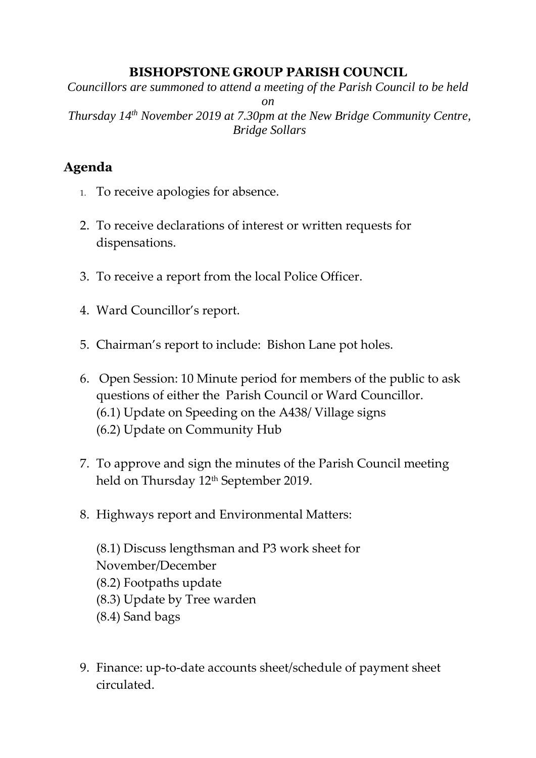## **BISHOPSTONE GROUP PARISH COUNCIL**

*Councillors are summoned to attend a meeting of the Parish Council to be held* 

*on Thursday 14th November 2019 at 7.30pm at the New Bridge Community Centre, Bridge Sollars*

## **Agenda**

- 1. To receive apologies for absence.
- 2. To receive declarations of interest or written requests for dispensations.
- 3. To receive a report from the local Police Officer.
- 4. Ward Councillor's report.
- 5. Chairman's report to include: Bishon Lane pot holes.
- 6. Open Session: 10 Minute period for members of the public to ask questions of either the Parish Council or Ward Councillor. (6.1) Update on Speeding on the A438/ Village signs (6.2) Update on Community Hub
- 7. To approve and sign the minutes of the Parish Council meeting held on Thursday 12<sup>th</sup> September 2019.
- 8. Highways report and Environmental Matters:

(8.1) Discuss lengthsman and P3 work sheet for November/December (8.2) Footpaths update (8.3) Update by Tree warden (8.4) Sand bags

9. Finance: up-to-date accounts sheet/schedule of payment sheet circulated.